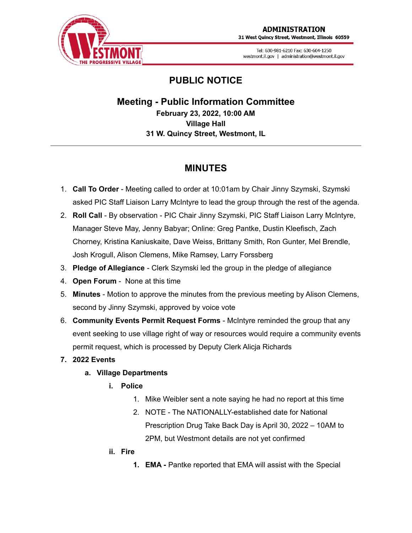

31 West Quincy Street, Westmont, Illinois 60559

Tel: 630-981-6210 Fax: 630-604-1250 westmont.il.gov | administration@westmont.il.gov

# **PUBLIC NOTICE**

**Meeting - Public Information Committee February 23, 2022, 10:00 AM Village Hall 31 W. Quincy Street, Westmont, IL**

## **MINUTES**

- 1. **Call To Order** Meeting called to order at 10:01am by Chair Jinny Szymski, Szymski asked PIC Staff Liaison Larry McIntyre to lead the group through the rest of the agenda.
- 2. **Roll Call** By observation PIC Chair Jinny Szymski, PIC Staff Liaison Larry McIntyre, Manager Steve May, Jenny Babyar; Online: Greg Pantke, Dustin Kleefisch, Zach Chorney, Kristina Kaniuskaite, Dave Weiss, Brittany Smith, Ron Gunter, Mel Brendle, Josh Krogull, Alison Clemens, Mike Ramsey, Larry Forssberg
- 3. **Pledge of Allegiance** Clerk Szymski led the group in the pledge of allegiance
- 4. **Open Forum** None at this time
- 5. **Minutes** Motion to approve the minutes from the previous meeting by Alison Clemens, second by Jinny Szymski, approved by voice vote
- 6. **Community Events Permit Request Forms** McIntyre reminded the group that any event seeking to use village right of way or resources would require a community events permit request, which is processed by Deputy Clerk Alicja Richards

## **7. 2022 Events**

## **a. Village Departments**

- **i. Police**
	- 1. Mike Weibler sent a note saying he had no report at this time
	- 2. NOTE The NATIONALLY-established date for National Prescription Drug Take Back Day is April 30, 2022 – 10AM to 2PM, but Westmont details are not yet confirmed
- **ii. Fire**
	- **1. EMA -** Pantke reported that EMA will assist with the Special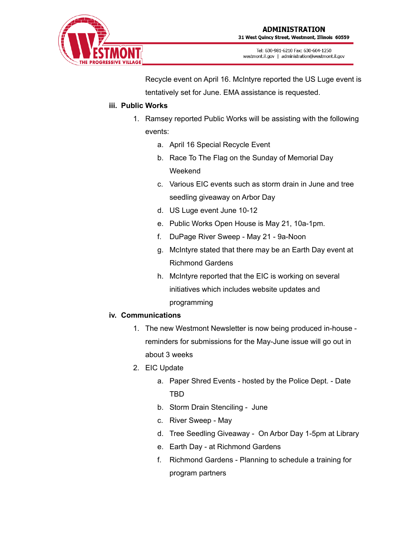

Recycle event on April 16. McIntyre reported the US Luge event is tentatively set for June. EMA assistance is requested.

#### **iii. Public Works**

- 1. Ramsey reported Public Works will be assisting with the following events:
	- a. April 16 Special Recycle Event
	- b. Race To The Flag on the Sunday of Memorial Day Weekend
	- c. Various EIC events such as storm drain in June and tree seedling giveaway on Arbor Day
	- d. US Luge event June 10-12
	- e. Public Works Open House is May 21, 10a-1pm.
	- f. DuPage River Sweep May 21 9a-Noon
	- g. McIntyre stated that there may be an Earth Day event at Richmond Gardens
	- h. McIntyre reported that the EIC is working on several initiatives which includes website updates and programming

## **iv. Communications**

- 1. The new Westmont Newsletter is now being produced in-house reminders for submissions for the May-June issue will go out in about 3 weeks
- 2. EIC Update
	- a. Paper Shred Events hosted by the Police Dept. Date TBD
	- b. Storm Drain Stenciling June
	- c. River Sweep May
	- d. Tree Seedling Giveaway On Arbor Day 1-5pm at Library
	- e. Earth Day at Richmond Gardens
	- f. Richmond Gardens Planning to schedule a training for program partners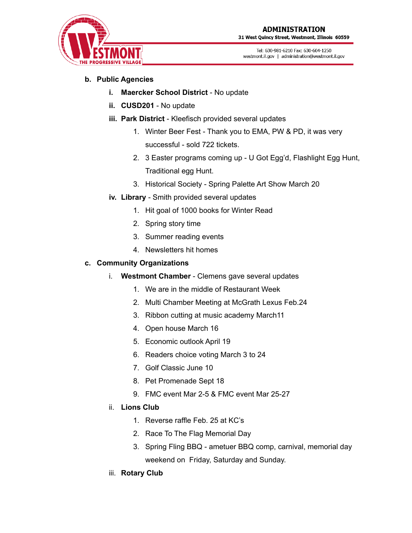

31 West Quincy Street, Westmont, Illinois 60559

Tel: 630-981-6210 Fax: 630-604-1250 westmont.il.gov | administration@westmont.il.gov

### **b. Public Agencies**

- **i. Maercker School District** No update
- **ii. CUSD201** No update
- **iii. Park District** Kleefisch provided several updates
	- 1. Winter Beer Fest Thank you to EMA, PW & PD, it was very successful - sold 722 tickets.
	- 2. 3 Easter programs coming up U Got Egg'd, Flashlight Egg Hunt, Traditional egg Hunt.
	- 3. Historical Society Spring Palette Art Show March 20
- **iv. Library** Smith provided several updates
	- 1. Hit goal of 1000 books for Winter Read
	- 2. Spring story time
	- 3. Summer reading events
	- 4. Newsletters hit homes

#### **c. Community Organizations**

- i. **Westmont Chamber** Clemens gave several updates
	- 1. We are in the middle of Restaurant Week
	- 2. Multi Chamber Meeting at McGrath Lexus Feb.24
	- 3. Ribbon cutting at music academy March11
	- 4. Open house March 16
	- 5. Economic outlook April 19
	- 6. Readers choice voting March 3 to 24
	- 7. Golf Classic June 10
	- 8. Pet Promenade Sept 18
	- 9. FMC event Mar 2-5 & FMC event Mar 25-27
- ii. **Lions Club**
	- 1. Reverse raffle Feb. 25 at KC's
	- 2. Race To The Flag Memorial Day
	- 3. Spring Fling BBQ ametuer BBQ comp, carnival, memorial day weekend on Friday, Saturday and Sunday.
- iii. **Rotary Club**